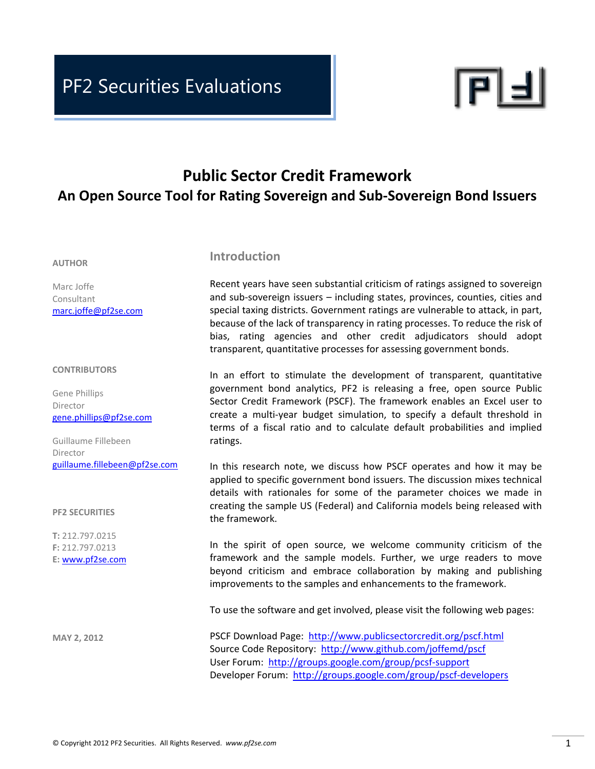<u>PF2 Securities Evans Evans Evans Evans Evans Evans Evans Evans Evans Evans Evans Evans Evans Evans Evans Evans</u>



# **Public Sector Credit Framework An Open Source Tool for Rating Sovereign and Sub‐Sovereign Bond Issuers**

#### **AUTHOR**

Marc Joffe Consultant marc.joffe@pf2se.com

#### **CONTRIBUTORS**

Gene Phillips Director gene.phillips@pf2se.com

Guillaume Fillebeen Director guillaume.fillebeen@pf2se.com

#### **PF2 SECURITIES**

**T:** 212.797.0215 **F:** 212.797.0213 **E:** www.pf2se.com

**MAY 2, 2012**

#### **Introduction**

Recent years have seen substantial criticism of ratings assigned to sovereign and sub‐sovereign issuers – including states, provinces, counties, cities and special taxing districts. Government ratings are vulnerable to attack, in part, because of the lack of transparency in rating processes. To reduce the risk of bias, rating agencies and other credit adjudicators should adopt transparent, quantitative processes for assessing government bonds.

In an effort to stimulate the development of transparent, quantitative government bond analytics, PF2 is releasing a free, open source Public Sector Credit Framework (PSCF). The framework enables an Excel user to create a multi‐year budget simulation, to specify a default threshold in terms of a fiscal ratio and to calculate default probabilities and implied ratings.

In this research note, we discuss how PSCF operates and how it may be applied to specific government bond issuers. The discussion mixes technical details with rationales for some of the parameter choices we made in creating the sample US (Federal) and California models being released with the framework.

In the spirit of open source, we welcome community criticism of the framework and the sample models. Further, we urge readers to move beyond criticism and embrace collaboration by making and publishing improvements to the samples and enhancements to the framework.

To use the software and get involved, please visit the following web pages:

PSCF Download Page: http://www.publicsectorcredit.org/pscf.html Source Code Repository: http://www.github.com/joffemd/pscf User Forum: http://groups.google.com/group/pcsf‐support Developer Forum: http://groups.google.com/group/pscf-developers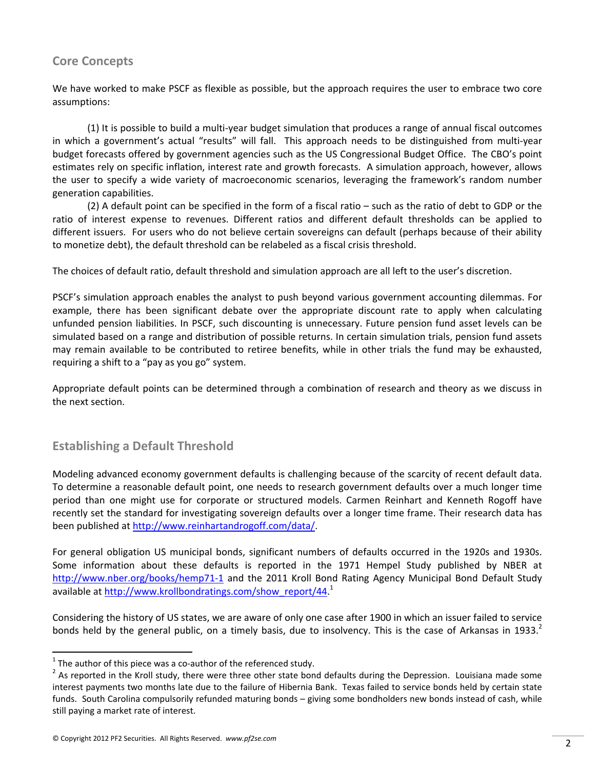### **Core Concepts**

We have worked to make PSCF as flexible as possible, but the approach requires the user to embrace two core assumptions:

(1) It is possible to build a multi‐year budget simulation that produces a range of annual fiscal outcomes in which a government's actual "results" will fall. This approach needs to be distinguished from multi‐year budget forecasts offered by government agencies such as the US Congressional Budget Office. The CBO's point estimates rely on specific inflation, interest rate and growth forecasts. A simulation approach, however, allows the user to specify a wide variety of macroeconomic scenarios, leveraging the framework's random number generation capabilities.

(2) A default point can be specified in the form of a fiscal ratio – such as the ratio of debt to GDP or the ratio of interest expense to revenues. Different ratios and different default thresholds can be applied to different issuers. For users who do not believe certain sovereigns can default (perhaps because of their ability to monetize debt), the default threshold can be relabeled as a fiscal crisis threshold.

The choices of default ratio, default threshold and simulation approach are all left to the user's discretion.

PSCF's simulation approach enables the analyst to push beyond various government accounting dilemmas. For example, there has been significant debate over the appropriate discount rate to apply when calculating unfunded pension liabilities. In PSCF, such discounting is unnecessary. Future pension fund asset levels can be simulated based on a range and distribution of possible returns. In certain simulation trials, pension fund assets may remain available to be contributed to retiree benefits, while in other trials the fund may be exhausted, requiring a shift to a "pay as you go" system.

Appropriate default points can be determined through a combination of research and theory as we discuss in the next section.

## **Establishing a Default Threshold**

Modeling advanced economy government defaults is challenging because of the scarcity of recent default data. To determine a reasonable default point, one needs to research government defaults over a much longer time period than one might use for corporate or structured models. Carmen Reinhart and Kenneth Rogoff have recently set the standard for investigating sovereign defaults over a longer time frame. Their research data has been published at http://www.reinhartandrogoff.com/data/.

For general obligation US municipal bonds, significant numbers of defaults occurred in the 1920s and 1930s. Some information about these defaults is reported in the 1971 Hempel Study published by NBER at http://www.nber.org/books/hemp71-1 and the 2011 Kroll Bond Rating Agency Municipal Bond Default Study available at http://www.krollbondratings.com/show\_report/44.<sup>1</sup>

Considering the history of US states, we are aware of only one case after 1900 in which an issuer failed to service bonds held by the general public, on a timely basis, due to insolvency. This is the case of Arkansas in 1933. $<sup>2</sup>$ </sup>

<sup>&</sup>lt;sup>1</sup> The author of this piece was a co-author of the referenced study.<br><sup>2</sup> As reported in the Kroll study, there were three other state bond defaults during the Depression. Louisiana made some interest payments two months late due to the failure of Hibernia Bank. Texas failed to service bonds held by certain state funds. South Carolina compulsorily refunded maturing bonds – giving some bondholders new bonds instead of cash, while still paying a market rate of interest.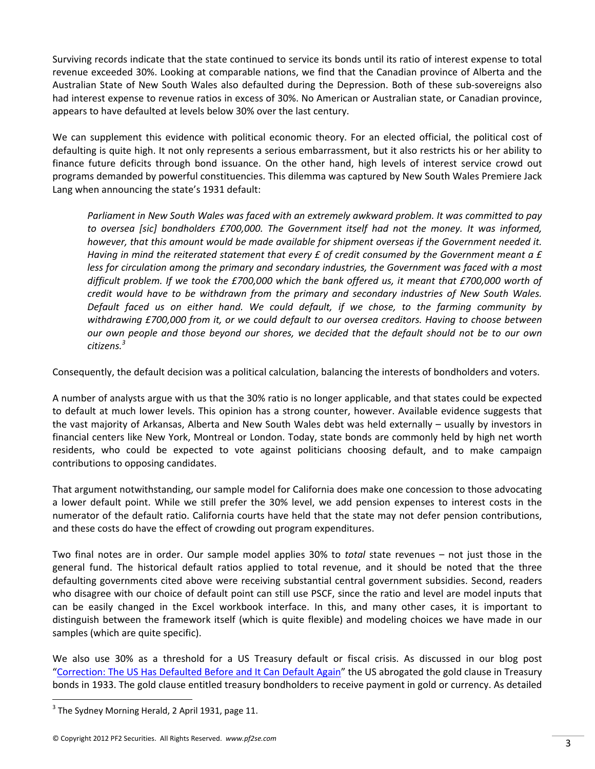Surviving records indicate that the state continued to service its bonds until its ratio of interest expense to total revenue exceeded 30%. Looking at comparable nations, we find that the Canadian province of Alberta and the Australian State of New South Wales also defaulted during the Depression. Both of these sub‐sovereigns also had interest expense to revenue ratios in excess of 30%. No American or Australian state, or Canadian province, appears to have defaulted at levels below 30% over the last century.

We can supplement this evidence with political economic theory. For an elected official, the political cost of defaulting is quite high. It not only represents a serious embarrassment, but it also restricts his or her ability to finance future deficits through bond issuance. On the other hand, high levels of interest service crowd out programs demanded by powerful constituencies. This dilemma was captured by New South Wales Premiere Jack Lang when announcing the state's 1931 default:

*Parliament in New South Wales was faced with an extremely awkward problem. It was committed to pay to oversea [sic] bondholders £700,000. The Government itself had not the money. It was informed, however, that this amount would be made available for shipment overseas if the Government needed it.* Having in mind the reiterated statement that every  $E$  of credit consumed by the Government meant a  $E$ *less for circulation among the primary and secondary industries, the Government was faced with a most* difficult problem. If we took the £700,000 which the bank offered us, it meant that £700,000 worth of *credit would have to be withdrawn from the primary and secondary industries of New South Wales. Default faced us on either hand. We could default, if we chose, to the farming community by withdrawing £700,000 from it, or we could default to our oversea creditors. Having to choose between* our own people and those beyond our shores, we decided that the default should not be to our own *citizens.<sup>3</sup>*

Consequently, the default decision was a political calculation, balancing the interests of bondholders and voters.

A number of analysts argue with us that the 30% ratio is no longer applicable, and that states could be expected to default at much lower levels. This opinion has a strong counter, however. Available evidence suggests that the vast majority of Arkansas, Alberta and New South Wales debt was held externally – usually by investors in financial centers like New York, Montreal or London. Today, state bonds are commonly held by high net worth residents, who could be expected to vote against politicians choosing default, and to make campaign contributions to opposing candidates.

That argument notwithstanding, our sample model for California does make one concession to those advocating a lower default point. While we still prefer the 30% level, we add pension expenses to interest costs in the numerator of the default ratio. California courts have held that the state may not defer pension contributions, and these costs do have the effect of crowding out program expenditures.

Two final notes are in order. Our sample model applies 30% to *total* state revenues – not just those in the general fund. The historical default ratios applied to total revenue, and it should be noted that the three defaulting governments cited above were receiving substantial central government subsidies. Second, readers who disagree with our choice of default point can still use PSCF, since the ratio and level are model inputs that can be easily changed in the Excel workbook interface. In this, and many other cases, it is important to distinguish between the framework itself (which is quite flexible) and modeling choices we have made in our samples (which are quite specific).

We also use 30% as a threshold for a US Treasury default or fiscal crisis. As discussed in our blog post "Correction: The US Has Defaulted Before and It Can Default Again" the US abrogated the gold clause in Treasury bonds in 1933. The gold clause entitled treasury bondholders to receive payment in gold or currency. As detailed

 $3$  The Sydney Morning Herald, 2 April 1931, page 11.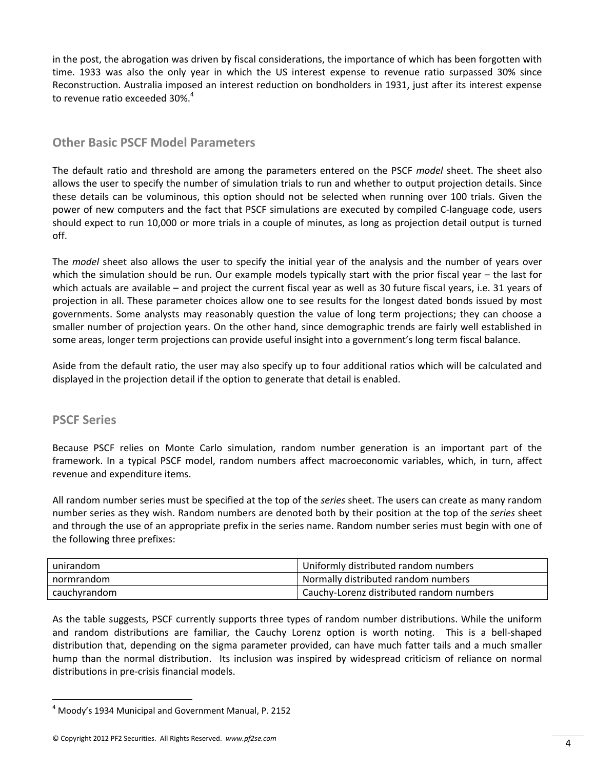in the post, the abrogation was driven by fiscal considerations, the importance of which has been forgotten with time. 1933 was also the only year in which the US interest expense to revenue ratio surpassed 30% since Reconstruction. Australia imposed an interest reduction on bondholders in 1931, just after its interest expense to revenue ratio exceeded 30%.<sup>4</sup>

### **Other Basic PSCF Model Parameters**

The default ratio and threshold are among the parameters entered on the PSCF *model* sheet. The sheet also allows the user to specify the number of simulation trials to run and whether to output projection details. Since these details can be voluminous, this option should not be selected when running over 100 trials. Given the power of new computers and the fact that PSCF simulations are executed by compiled C‐language code, users should expect to run 10,000 or more trials in a couple of minutes, as long as projection detail output is turned off.

The *model* sheet also allows the user to specify the initial year of the analysis and the number of years over which the simulation should be run. Our example models typically start with the prior fiscal year – the last for which actuals are available – and project the current fiscal year as well as 30 future fiscal years, i.e. 31 years of projection in all. These parameter choices allow one to see results for the longest dated bonds issued by most governments. Some analysts may reasonably question the value of long term projections; they can choose a smaller number of projection years. On the other hand, since demographic trends are fairly well established in some areas, longer term projections can provide useful insight into a government's long term fiscal balance.

Aside from the default ratio, the user may also specify up to four additional ratios which will be calculated and displayed in the projection detail if the option to generate that detail is enabled.

### **PSCF Series**

Because PSCF relies on Monte Carlo simulation, random number generation is an important part of the framework. In a typical PSCF model, random numbers affect macroeconomic variables, which, in turn, affect revenue and expenditure items.

All random number series must be specified at the top of the *series* sheet. The users can create as many random number series as they wish. Random numbers are denoted both by their position at the top of the *series* sheet and through the use of an appropriate prefix in the series name. Random number series must begin with one of the following three prefixes:

| unirandom    | Uniformly distributed random numbers     |  |
|--------------|------------------------------------------|--|
| normrandom   | Normally distributed random numbers      |  |
| cauchyrandom | Cauchy-Lorenz distributed random numbers |  |

As the table suggests, PSCF currently supports three types of random number distributions. While the uniform and random distributions are familiar, the Cauchy Lorenz option is worth noting. This is a bell‐shaped distribution that, depending on the sigma parameter provided, can have much fatter tails and a much smaller hump than the normal distribution. Its inclusion was inspired by widespread criticism of reliance on normal distributions in pre‐crisis financial models.

<sup>4</sup> Moody's 1934 Municipal and Government Manual, P. 2152

<sup>©</sup> Copyright <sup>2012</sup> PF2 Securities. All Rights Reserved. *www.pf2se.com* 4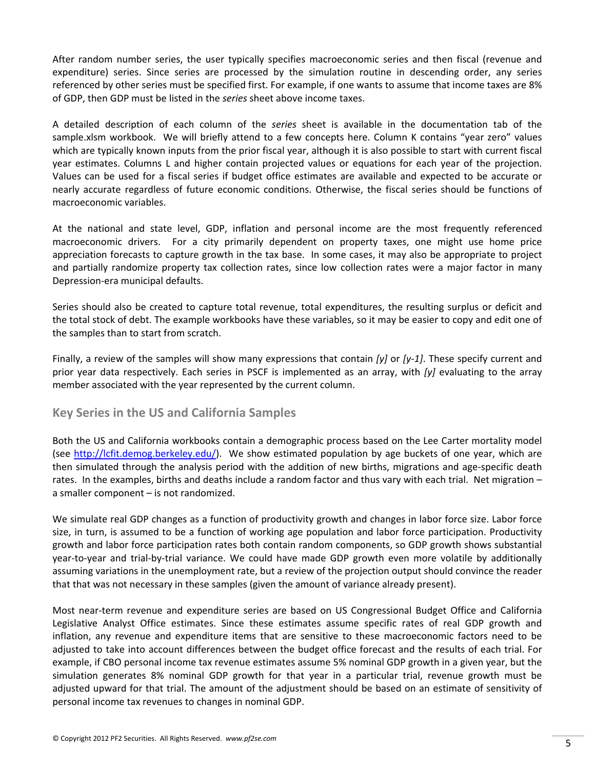After random number series, the user typically specifies macroeconomic series and then fiscal (revenue and expenditure) series. Since series are processed by the simulation routine in descending order, any series referenced by other series must be specified first. For example, if one wants to assume that income taxes are 8% of GDP, then GDP must be listed in the *series* sheet above income taxes.

A detailed description of each column of the *series* sheet is available in the documentation tab of the sample.xlsm workbook. We will briefly attend to a few concepts here. Column K contains "year zero" values which are typically known inputs from the prior fiscal year, although it is also possible to start with current fiscal year estimates. Columns L and higher contain projected values or equations for each year of the projection. Values can be used for a fiscal series if budget office estimates are available and expected to be accurate or nearly accurate regardless of future economic conditions. Otherwise, the fiscal series should be functions of macroeconomic variables.

At the national and state level, GDP, inflation and personal income are the most frequently referenced macroeconomic drivers. For a city primarily dependent on property taxes, one might use home price appreciation forecasts to capture growth in the tax base. In some cases, it may also be appropriate to project and partially randomize property tax collection rates, since low collection rates were a major factor in many Depression‐era municipal defaults.

Series should also be created to capture total revenue, total expenditures, the resulting surplus or deficit and the total stock of debt. The example workbooks have these variables, so it may be easier to copy and edit one of the samples than to start from scratch.

Finally, a review of the samples will show many expressions that contain *[y]* or *[y‐1]*. These specify current and prior year data respectively. Each series in PSCF is implemented as an array, with *[y]* evaluating to the array member associated with the year represented by the current column.

### **Key Series in the US and California Samples**

Both the US and California workbooks contain a demographic process based on the Lee Carter mortality model (see http://lcfit.demog.berkeley.edu/). We show estimated population by age buckets of one year, which are then simulated through the analysis period with the addition of new births, migrations and age‐specific death rates. In the examples, births and deaths include a random factor and thus vary with each trial. Net migration – a smaller component – is not randomized.

We simulate real GDP changes as a function of productivity growth and changes in labor force size. Labor force size, in turn, is assumed to be a function of working age population and labor force participation. Productivity growth and labor force participation rates both contain random components, so GDP growth shows substantial year‐to‐year and trial‐by‐trial variance. We could have made GDP growth even more volatile by additionally assuming variations in the unemployment rate, but a review of the projection output should convince the reader that that was not necessary in these samples (given the amount of variance already present).

Most near‐term revenue and expenditure series are based on US Congressional Budget Office and California Legislative Analyst Office estimates. Since these estimates assume specific rates of real GDP growth and inflation, any revenue and expenditure items that are sensitive to these macroeconomic factors need to be adjusted to take into account differences between the budget office forecast and the results of each trial. For example, if CBO personal income tax revenue estimates assume 5% nominal GDP growth in a given year, but the simulation generates 8% nominal GDP growth for that year in a particular trial, revenue growth must be adjusted upward for that trial. The amount of the adjustment should be based on an estimate of sensitivity of personal income tax revenues to changes in nominal GDP.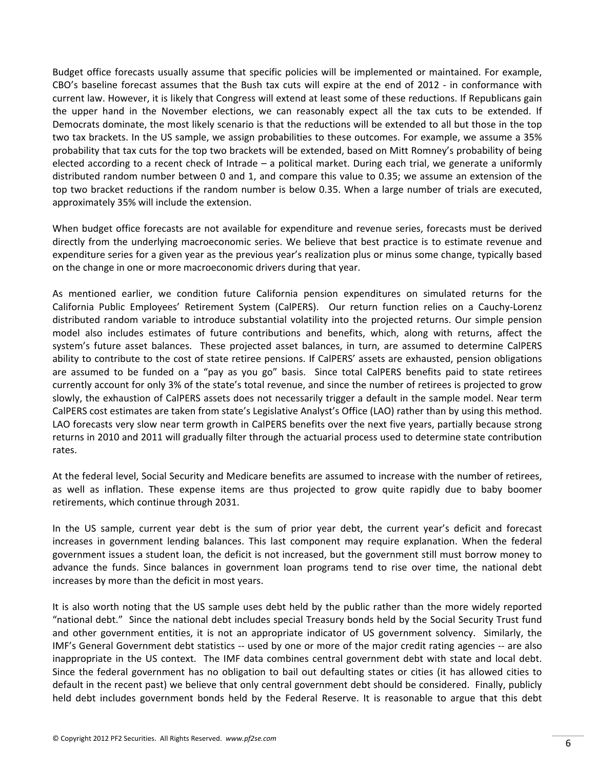Budget office forecasts usually assume that specific policies will be implemented or maintained. For example, CBO's baseline forecast assumes that the Bush tax cuts will expire at the end of 2012 ‐ in conformance with current law. However, it is likely that Congress will extend at least some of these reductions. If Republicans gain the upper hand in the November elections, we can reasonably expect all the tax cuts to be extended. If Democrats dominate, the most likely scenario is that the reductions will be extended to all but those in the top two tax brackets. In the US sample, we assign probabilities to these outcomes. For example, we assume a 35% probability that tax cuts for the top two brackets will be extended, based on Mitt Romney's probability of being elected according to a recent check of Intrade – a political market. During each trial, we generate a uniformly distributed random number between 0 and 1, and compare this value to 0.35; we assume an extension of the top two bracket reductions if the random number is below 0.35. When a large number of trials are executed, approximately 35% will include the extension.

When budget office forecasts are not available for expenditure and revenue series, forecasts must be derived directly from the underlying macroeconomic series. We believe that best practice is to estimate revenue and expenditure series for a given year as the previous year's realization plus or minus some change, typically based on the change in one or more macroeconomic drivers during that year.

As mentioned earlier, we condition future California pension expenditures on simulated returns for the California Public Employees' Retirement System (CalPERS). Our return function relies on a Cauchy‐Lorenz distributed random variable to introduce substantial volatility into the projected returns. Our simple pension model also includes estimates of future contributions and benefits, which, along with returns, affect the system's future asset balances. These projected asset balances, in turn, are assumed to determine CalPERS ability to contribute to the cost of state retiree pensions. If CalPERS' assets are exhausted, pension obligations are assumed to be funded on a "pay as you go" basis. Since total CalPERS benefits paid to state retirees currently account for only 3% of the state's total revenue, and since the number of retirees is projected to grow slowly, the exhaustion of CalPERS assets does not necessarily trigger a default in the sample model. Near term CalPERS cost estimates are taken from state's Legislative Analyst's Office (LAO) rather than by using this method. LAO forecasts very slow near term growth in CalPERS benefits over the next five years, partially because strong returns in 2010 and 2011 will gradually filter through the actuarial process used to determine state contribution rates.

At the federal level, Social Security and Medicare benefits are assumed to increase with the number of retirees, as well as inflation. These expense items are thus projected to grow quite rapidly due to baby boomer retirements, which continue through 2031.

In the US sample, current year debt is the sum of prior year debt, the current year's deficit and forecast increases in government lending balances. This last component may require explanation. When the federal government issues a student loan, the deficit is not increased, but the government still must borrow money to advance the funds. Since balances in government loan programs tend to rise over time, the national debt increases by more than the deficit in most years.

It is also worth noting that the US sample uses debt held by the public rather than the more widely reported "national debt." Since the national debt includes special Treasury bonds held by the Social Security Trust fund and other government entities, it is not an appropriate indicator of US government solvency. Similarly, the IMF's General Government debt statistics ‐‐ used by one or more of the major credit rating agencies ‐‐ are also inappropriate in the US context. The IMF data combines central government debt with state and local debt. Since the federal government has no obligation to bail out defaulting states or cities (it has allowed cities to default in the recent past) we believe that only central government debt should be considered. Finally, publicly held debt includes government bonds held by the Federal Reserve. It is reasonable to argue that this debt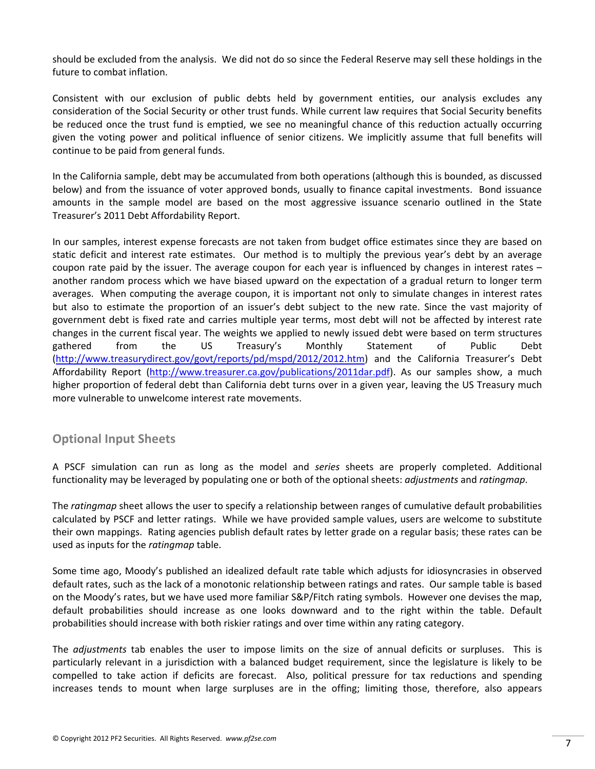should be excluded from the analysis. We did not do so since the Federal Reserve may sell these holdings in the future to combat inflation.

Consistent with our exclusion of public debts held by government entities, our analysis excludes any consideration of the Social Security or other trust funds. While current law requires that Social Security benefits be reduced once the trust fund is emptied, we see no meaningful chance of this reduction actually occurring given the voting power and political influence of senior citizens. We implicitly assume that full benefits will continue to be paid from general funds.

In the California sample, debt may be accumulated from both operations (although this is bounded, as discussed below) and from the issuance of voter approved bonds, usually to finance capital investments. Bond issuance amounts in the sample model are based on the most aggressive issuance scenario outlined in the State Treasurer's 2011 Debt Affordability Report.

In our samples, interest expense forecasts are not taken from budget office estimates since they are based on static deficit and interest rate estimates. Our method is to multiply the previous year's debt by an average coupon rate paid by the issuer. The average coupon for each year is influenced by changes in interest rates – another random process which we have biased upward on the expectation of a gradual return to longer term averages. When computing the average coupon, it is important not only to simulate changes in interest rates but also to estimate the proportion of an issuer's debt subject to the new rate. Since the vast majority of government debt is fixed rate and carries multiple year terms, most debt will not be affected by interest rate changes in the current fiscal year. The weights we applied to newly issued debt were based on term structures gathered from the US Treasury's Monthly Statement of Public Debt (http://www.treasurydirect.gov/govt/reports/pd/mspd/2012/2012.htm) and the California Treasurer's Debt Affordability Report (http://www.treasurer.ca.gov/publications/2011dar.pdf). As our samples show, a much higher proportion of federal debt than California debt turns over in a given year, leaving the US Treasury much more vulnerable to unwelcome interest rate movements.

### **Optional Input Sheets**

A PSCF simulation can run as long as the model and *series* sheets are properly completed. Additional functionality may be leveraged by populating one or both of the optional sheets: *adjustments* and *ratingmap*.

The *ratingmap* sheet allows the user to specify a relationship between ranges of cumulative default probabilities calculated by PSCF and letter ratings. While we have provided sample values, users are welcome to substitute their own mappings. Rating agencies publish default rates by letter grade on a regular basis; these rates can be used as inputs for the *ratingmap* table.

Some time ago, Moody's published an idealized default rate table which adjusts for idiosyncrasies in observed default rates, such as the lack of a monotonic relationship between ratings and rates. Our sample table is based on the Moody's rates, but we have used more familiar S&P/Fitch rating symbols. However one devises the map, default probabilities should increase as one looks downward and to the right within the table. Default probabilities should increase with both riskier ratings and over time within any rating category.

The *adjustments* tab enables the user to impose limits on the size of annual deficits or surpluses. This is particularly relevant in a jurisdiction with a balanced budget requirement, since the legislature is likely to be compelled to take action if deficits are forecast. Also, political pressure for tax reductions and spending increases tends to mount when large surpluses are in the offing; limiting those, therefore, also appears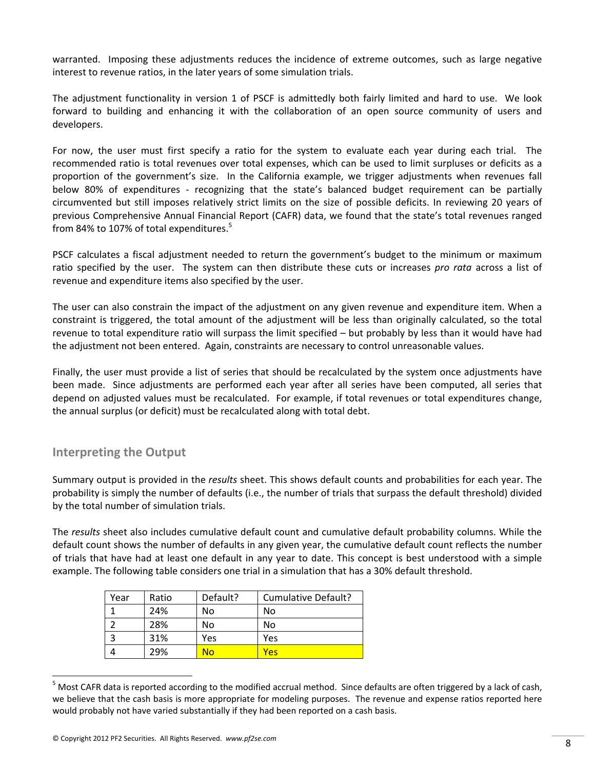warranted. Imposing these adjustments reduces the incidence of extreme outcomes, such as large negative interest to revenue ratios, in the later years of some simulation trials.

The adjustment functionality in version 1 of PSCF is admittedly both fairly limited and hard to use. We look forward to building and enhancing it with the collaboration of an open source community of users and developers.

For now, the user must first specify a ratio for the system to evaluate each year during each trial. The recommended ratio is total revenues over total expenses, which can be used to limit surpluses or deficits as a proportion of the government's size. In the California example, we trigger adjustments when revenues fall below 80% of expenditures - recognizing that the state's balanced budget requirement can be partially circumvented but still imposes relatively strict limits on the size of possible deficits. In reviewing 20 years of previous Comprehensive Annual Financial Report (CAFR) data, we found that the state's total revenues ranged from 84% to 107% of total expenditures.<sup>5</sup>

PSCF calculates a fiscal adjustment needed to return the government's budget to the minimum or maximum ratio specified by the user. The system can then distribute these cuts or increases *pro rata* across a list of revenue and expenditure items also specified by the user.

The user can also constrain the impact of the adjustment on any given revenue and expenditure item. When a constraint is triggered, the total amount of the adjustment will be less than originally calculated, so the total revenue to total expenditure ratio will surpass the limit specified – but probably by less than it would have had the adjustment not been entered. Again, constraints are necessary to control unreasonable values.

Finally, the user must provide a list of series that should be recalculated by the system once adjustments have been made. Since adjustments are performed each year after all series have been computed, all series that depend on adjusted values must be recalculated. For example, if total revenues or total expenditures change, the annual surplus (or deficit) must be recalculated along with total debt.

## **Interpreting the Output**

Summary output is provided in the *results* sheet. This shows default counts and probabilities for each year. The probability is simply the number of defaults (i.e., the number of trials that surpass the default threshold) divided by the total number of simulation trials.

The *results* sheet also includes cumulative default count and cumulative default probability columns. While the default count shows the number of defaults in any given year, the cumulative default count reflects the number of trials that have had at least one default in any year to date. This concept is best understood with a simple example. The following table considers one trial in a simulation that has a 30% default threshold.

| Year | Ratio | Default? | Cumulative Default? |
|------|-------|----------|---------------------|
|      | 24%   | No       | No                  |
|      | 28%   | No       | No                  |
|      | 31%   | Yes      | Yes                 |
|      | 29%   | No       | Yes                 |

 $5$  Most CAFR data is reported according to the modified accrual method. Since defaults are often triggered by a lack of cash, we believe that the cash basis is more appropriate for modeling purposes. The revenue and expense ratios reported here would probably not have varied substantially if they had been reported on a cash basis.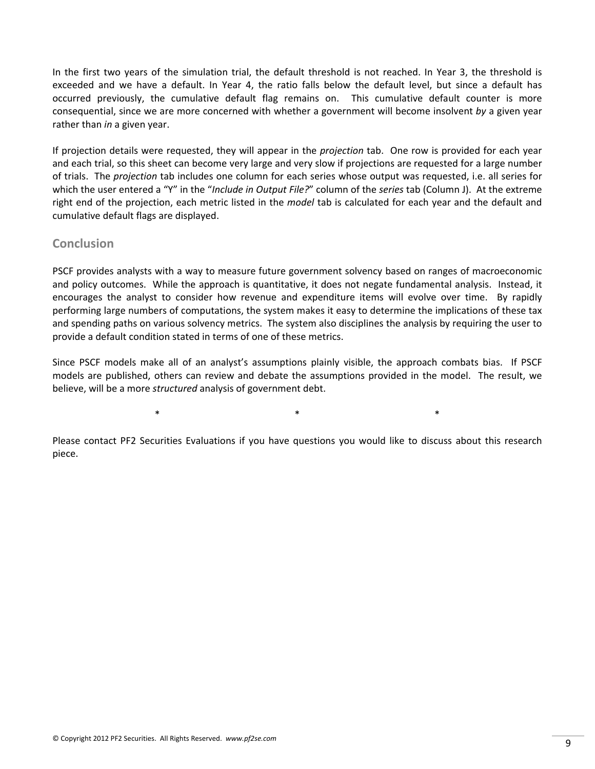In the first two years of the simulation trial, the default threshold is not reached. In Year 3, the threshold is exceeded and we have a default. In Year 4, the ratio falls below the default level, but since a default has occurred previously, the cumulative default flag remains on. This cumulative default counter is more consequential, since we are more concerned with whether a government will become insolvent *by* a given year rather than *in* a given year.

If projection details were requested, they will appear in the *projection* tab. One row is provided for each year and each trial, so this sheet can become very large and very slow if projections are requested for a large number of trials. The *projection* tab includes one column for each series whose output was requested, i.e. all series for which the user entered a "Y" in the "*Include in Output File?*" column of the *series* tab (Column J). At the extreme right end of the projection, each metric listed in the *model* tab is calculated for each year and the default and cumulative default flags are displayed.

### **Conclusion**

PSCF provides analysts with a way to measure future government solvency based on ranges of macroeconomic and policy outcomes. While the approach is quantitative, it does not negate fundamental analysis. Instead, it encourages the analyst to consider how revenue and expenditure items will evolve over time. By rapidly performing large numbers of computations, the system makes it easy to determine the implications of these tax and spending paths on various solvency metrics. The system also disciplines the analysis by requiring the user to provide a default condition stated in terms of one of these metrics.

Since PSCF models make all of an analyst's assumptions plainly visible, the approach combats bias. If PSCF models are published, others can review and debate the assumptions provided in the model. The result, we believe, will be a more *structured* analysis of government debt.

 $\ast$   $\ast$   $\ast$ 

Please contact PF2 Securities Evaluations if you have questions you would like to discuss about this research piece.